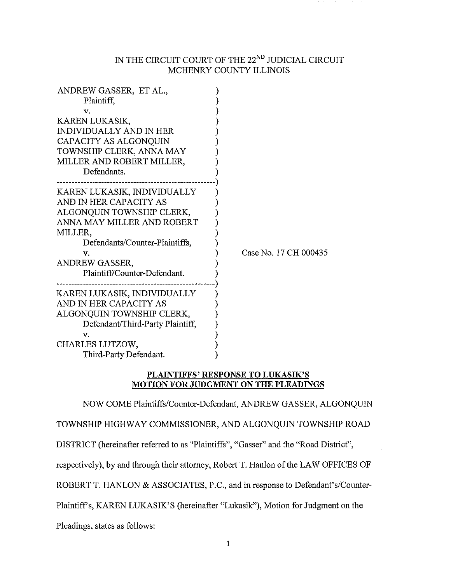# IN THE CIRCUIT COURT OF THE  $22^{ND}$  JUDICIAL CIRCUIT MCHENRY COUNTY ILLINOIS

| ANDREW GASSER, ET AL.,<br>Plaintiff,                                                                                                                                                                                  |                       |
|-----------------------------------------------------------------------------------------------------------------------------------------------------------------------------------------------------------------------|-----------------------|
|                                                                                                                                                                                                                       |                       |
| v.<br>KAREN LUKASIK,<br><b>INDIVIDUALLY AND IN HER</b><br>CAPACITY AS ALGONQUIN<br>TOWNSHIP CLERK, ANNA MAY<br>MILLER AND ROBERT MILLER,                                                                              |                       |
| Defendants.                                                                                                                                                                                                           |                       |
| KAREN LUKASIK, INDIVIDUALLY<br>AND IN HER CAPACITY AS<br>ALGONQUIN TOWNSHIP CLERK,<br>ANNA MAY MILLER AND ROBERT<br>MILLER,<br>Defendants/Counter-Plaintiffs,<br>v.<br>ANDREW GASSER,<br>Plaintiff/Counter-Defendant. | Case No. 17 CH 000435 |
| KAREN LUKASIK, INDIVIDUALLY<br>AND IN HER CAPACITY AS<br>ALGONQUIN TOWNSHIP CLERK,<br>Defendant/Third-Party Plaintiff,<br>v.<br>CHARLES LUTZOW,<br>Third-Party Defendant.                                             |                       |

# **PLAINTIFFS' RESPONSE TO LUKASIK'S MOTION FOR JUDGMENT ON THE PLEADINGS**

NOW COME Plaintiffs/Counter-Defendant, ANDREW GASSER, ALGONQUIN

TOWNSHIP HIGHWAY COMMISSIONER, AND ALGONQUIN TOWNSHIP ROAD

DISTRICT (hereinafter referred to as "Plaintiffs", "Gasser" and the "Road District",

respectively), by and through their attorney, Robert T. Hanlon of the LAW OFFICES OF

ROBERT T. HANLON & ASSOCIATES, P.C., and in response to Defendant's/Counter-

Plaintiffs, KAREN LUKASIK'S (hereinafter "Lukasik"), Motion for Judgment on the

Pleadings, states as follows: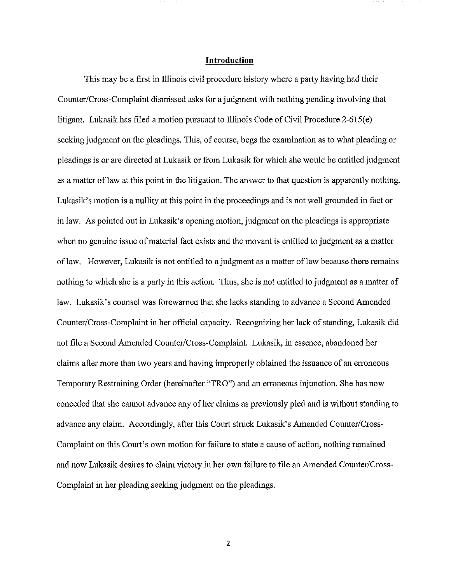#### **Introduction**

This may be a first in Illinois civil procedure history where a party having had their Counter/Cross-Complaint dismissed asks for a judgment with nothing pending involving that litigant. Lukasik has filed a motion pursuant to Illinois Code of Civil Procedure 2-615(e) seeking judgment on the pleadings. This, of course, begs the examination as to what pleading or pleadings is or are directed at Lukasik or from Lukasik for which she would be entitled judgment as a matter of law at this point in the litigation. The answer to that question is apparently nothing. Lukasik's motion is a nullity at this point in the proceedings and is not well grounded in fact or in law. As pointed out in Lukasik's opening motion, judgment on the pleadings is appropriate when no genuine issue of material fact exists and the movant is entitled to judgment as a matter of law. However, Lukasik is not entitled to a judgment as a matter of law because there remains nothing to which she is a party in this action. Thus, she is not entitled to judgment as a matter of law. Lukasik's counsel was forewarned that she lacks standing to advance a Second Amended Counter/Cross-Complaint in her official capacity. Recognizing her lack of standing, Lukasik did not file a Second Amended Counter/Cross-Complaint. Lukasik, in essence, abandoned her claims after more than two years and having improperly obtained the issuance of an erroneous Temporary Restraining Order (hereinafter "TRO") and an erroneous injunction. She has now conceded that she cannot advance any of her claims as previously pied and is without standing to advance any claim. Accordingly, after this Couti struck Lukasik's Amended Counter/Cross-Complaint on this Court's own motion for failure to state a cause of action, nothing remained and now Lukasik desires to claim victory in her own failure to file an Amended Counter/Cross-Complaint in her pleading seeking judgment on the pleadings.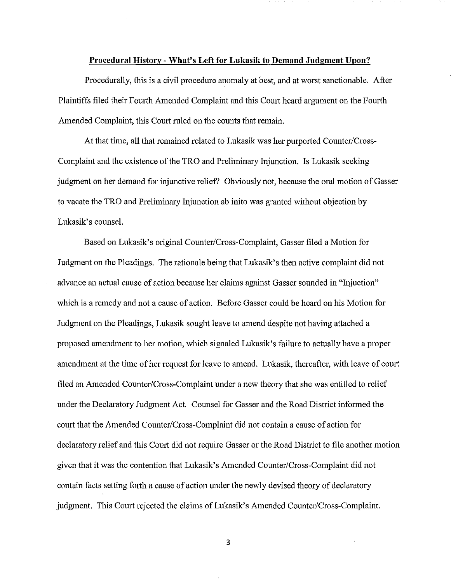#### **Procedural History- What's Left for Lukasik to Demand Judgment Upon?**

Procedurally, this is a civil procedure anomaly at best, and at worst sanctionable. After Plaintiffs filed their Fourth Amended Complaint and this Court heard argument on the Fourth Amended Complaint, this Court ruled on the counts that remain.

At that time, all that remained related to Lukasik was her purported Counter/Cross-Complaint and the existence of the TRO and Preliminary Injunction. ls Lukasik seeking judgment on her demand for injunctive relief? Obviously not, because the oral motion of Gasser to vacate the TRO and Preliminary Injunction ab inito was granted without objection by Lukasik's counsel.

Based on Lukasik's original Counter/Cross-Complaint, Gasser filed a Motion for Judgment on the Pleadings. The rationale being that Lukasik's then active complaint did not advance an actual cause of action because her claims against Gasser sounded in "Injuction" which is a remedy and not a cause of action. Before Gasser could be heard on his Motion for Judgment on the Pleadings, Lukasik sought leave to amend despite not having attached a proposed amendment to her motion, which signaled Lukasik's failure to actually have a proper amendment at the time of her request for leave to amend. Lukasik, thereafter, with leave of court filed an Amended Counter/Cross-Complaint under a new theory that she was entitled to relief under the Declaratory Judgment Act. Counsel for Gasser and the Road District informed the court that the Amended Counter/Cross-Complaint did not contain a cause of action for declaratory relief and this Comt did not require Gasser or the Road District to file another motion given that it was the contention that Lukasik's Amended Counter/Cross-Complaint did not contain facts setting forth a cause of action under the newly devised theory of declaratory judgment. This Court rejected the claims of Lukasik's Amended Counter/Cross-Complaint.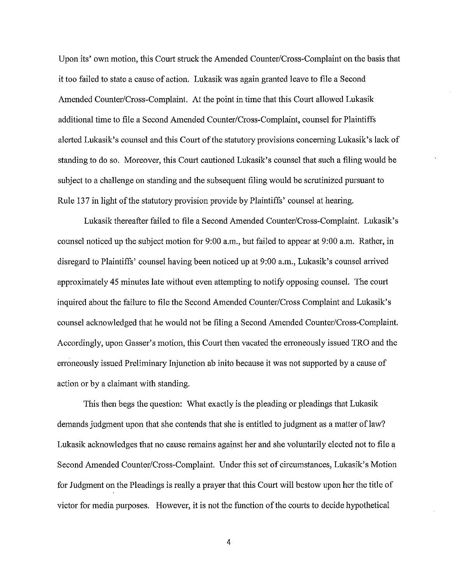Upon its' own motion, this Court struck the Amended Counter/Cross-Complaint on the basis that it too failed to state a cause of action. Lukasik was again granted leave to file a Second Amended Counter/Cross-Complaint. At the point in time that this Court allowed Lukasik additional time to file a Second Amended Counter/Cross-Complaint, counsel for Plaintiffs alerted Lukasik's counsel and this Court of the statutory provisions concerning Lukasik's lack of standing to do so. Moreover, this Court cautioned Lukasik's counsel that such a filing would be subject to a challenge on standing and the subsequent filing would be scrutinized pursuant to Rule 137 in light of the statutory provision provide by Plaintiffs' counsel at hearing.

Lukasik thereafter failed to file a Second Amended Counter/Cross-Complaint. Lukasik's counsel noticed up the subject motion for 9:00 a.m., but failed to appear at 9:00 a.m. Rather, in disregard to Plaintiffs' counsel having been noticed up at 9:00 a.m., Lukasik's counsel arrived approximately 45 minutes late without even attempting to notify opposing counsel. The court inquired about the failure to file the Second Amended Counter/Cross Complaint and Lukasik's counsel acknowledged that he would not be filing a Second Amended Counter/Cross-Complaint. Accordingly, upon Gasser's motion, this Court then vacated the erroneously issued TRO and the erroneously issued Preliminary Injunction ab inito because it was not supported by a cause of action or by a claimant with standing.

This then begs the question: What exactly is the pleading or pleadings that Lukasik demands judgment upon that she contends that she is entitled to judgment as a matter of law? Lukasik acknowledges that no cause remains against her and she voluntarily elected not to file a Second Amended Counter/Cross-Complaint. Under this set of circumstances, Lukasik's Motion for Judgment on the Pleadings is really a prayer that this Court will bestow upon her the title of victor for media purposes. However, it is not the function of the courts to decide hypothetical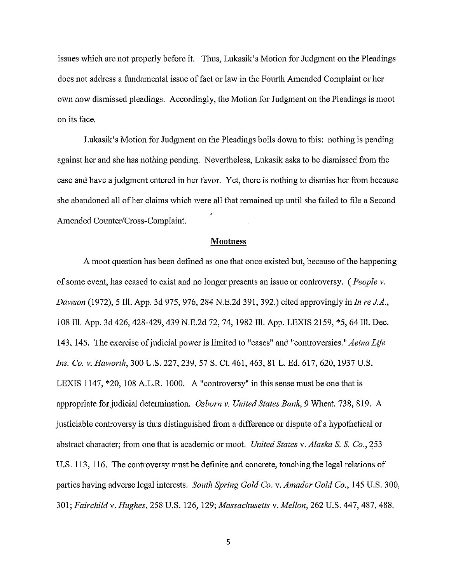issues which are not properly before it. Thus, Lukasik's Motion for Judgment on the Pleadings does not address a fundamental issue of fact or law in the Fourth Amended Complaint or her own now dismissed pleadings. Accordingly, the Motion for Judgment on the Pleadings is moot on its face.

Lukasik's Motion for Judgment on the Pleadings boils down to this: nothing is pending against her and she has nothing pending. Nevertheless, Lukasik asks to be dismissed from the case and have a judgment entered in her favor. Yet, there is nothing to dismiss her from because she abandoned all of her claims which were all that remained up until she failed to file a Second Amended Counter/Cross-Complaint.

### Mootness

A moot question has been defined as one that once existed but, because of the happening of some event, has ceased to exist and no longer presents an issue or controversy. *(People v. Dmvson* (1972), 5 Ill. App. 3d 975, 976, 284 N.E.2d 391, 392.) cited approvingly in *In re J.A.,*  108 Ill. App. 3d 426, 428-429, 439 N.E.2d 72, 74, 1982 Ill. App. LEXIS 2159, \*5, 64 Ill. Dec. 143, 145. The exercise of judicial power is limited to "cases" and "controversies." *Aetna Life Ins. Co. v. Haworth,* 300 U.S. 227, 239, 57 S. Ct. 461, 463, 81 L. Ed. 617, 620, 1937 U.S. LEXIS 1147, \*20, 108 A.L.R. 1000. A "controversy" in this sense must be one that is appropriate for judicial determination. *Osborn v. United States Bank*, 9 Wheat. 738, 819. A justiciable controversy is thus distinguished from a difference or dispute of a hypothetical or abstract character; from one that is academic or moot. *United States* v. *Alaska S. S. Co.,* 253 U.S. 113, 116. The controversy must be definite and concrete, touching the legal relations of parties having adverse legal interests. *South Spring Gold Co.* v. *Amador Gold Co.,* 145 U.S. 300, 301; *Fairchild* v. *Hughes,* 258 U.S. 126, 129; *Massachusetts* v. *Mellon,* 262 U.S. 447, 487, 488.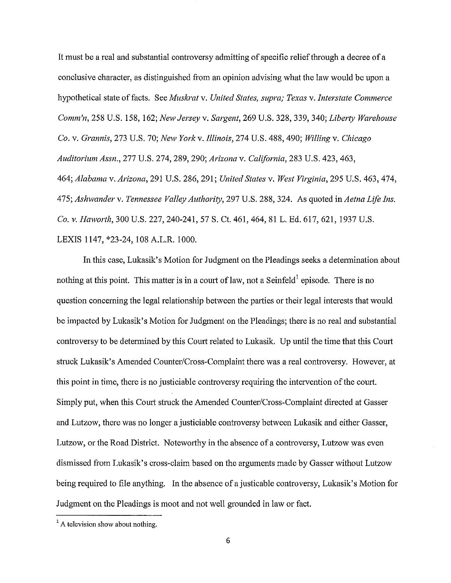It must be a real and substantial controversy admitting of specific relief through a decree of a conclusive character, as distinguished from an opinion advising what the law would be upon a hypothetical state of facts. See *Musla·at* v. *United States, supra; Texas* v. *Interstate Commerce Comm'n,* 258 U.S. 158, 162; *New Jersey* v. *Sargent,* 269 U.S. 328, 339, 340; *Liberty Warehouse Co.* v. *Grannis,* 273 U.S. 70; *New York* v. *Illinois,* 274 U.S. 488, 490; *Willing* v. *Chicago Auditorium Assn.,* 277 U.S. 274, 289, 290; *Arizona* v. *California,* 283 U.S. 423, 463, 464; *Alabama* v. *Arizona,* 291 U.S. 286, 291; *United States* v. *West Virginia,* 295 U.S. 463, 474, 475; *Ashwander* v. *Tennessee Valley Authority,* 297 U.S. 288, 324. As quoted in *Aetna Life Ins. Co. v. Haworth,* 300 U.S. 227, 240-241, 57 S. Ct. 461, 464, 81 L. Ed. 617, 621, 1937 U.S. LEXIS 1147, \*23-24, 108 A.L.R. 1000.

In this case, Lukasik's Motion for Judgment on the Pleadings seeks a determination about nothing at this point. This matter is in a court of law, not a Seinfeld<sup>1</sup> episode. There is no question concerning the legal relationship between the parties or their legal interests that would be impacted by Lukasik's Motion for Judgment on the Pleadings; there is no real and substantial controversy to be determined by this Court related to Lukasik. Up until the time that this Court struck Lukasik's Amended Counter/Cross-Complaint there was a real controversy. However, at this point in time, there is no justiciable controversy requiring the intervention of the court. Simply put, when this Court struck the Amended Counter/Cross-Complaint directed at Gasser and Lutzow, there was no longer a justiciable controversy between Lukasik and either Gasser, Lutzow, or the Road District. Noteworthy in the absence of a controversy, Lutzow was even dismissed from Lukasik's cross-claim based on the arguments made by Gasser without Lutzow being required to file anything. In the absence of a justicable controversy, Lukasik's Motion for Judgment on the Pleadings is moot and not well grounded in law or fact.

 $<sup>1</sup>$  A television show about nothing.</sup>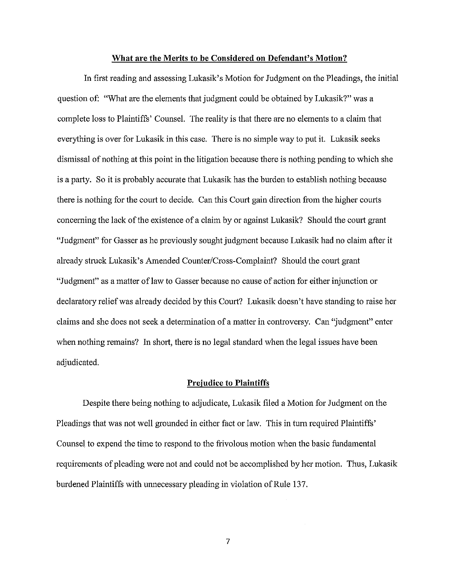#### **What are the Merits to be Considered on Defendant's Motion?**

In first reading and assessing Lukasik's Motion for Judgment on the Pleadings, the initial question of: "What are the elements that judgment could be obtained by Lukasik?" was a complete loss to Plaintiffs' Counsel. The reality is that there are no elements to a claim that everything is over for Lukasik in this case. There is no simple way to put it. Lukasik seeks dismissal of nothing at this point in the litigation because there is nothing pending to which she is a party. So it is probably accurate that Lukasik has the burden to establish nothing because there is nothing for the court to decide. Can this Court gain direction from the higher courts concerning the lack of the existence of a claim by or against Lukasik? Should the court grant "Judgment" for Gasser as he previously sought judgment because Lukasik had no claim after it already struck Lukasik's Amended Counter/Cross-Complaint? Should the court grant "Judgment" as a matter oflaw to Gasser because no cause of action for either injunction or declaratory relief was already decided by this Court? Lukasik doesn't have standing to raise her claims and she does not seek a detennination of a matter in controversy. Can "judgment" enter when nothing remains? In short, there is no legal standard when the legal issues have been adjudicated.

#### **Prejudice to Plaintiffs**

Despite there being nothing to adjudicate, Lukasik filed a Motion for Judgment on the Pleadings that was not well grounded in either fact or law. This in tum required Plaintiffs' Counsel to expend the time to respond to the frivolous motion when the basic fundamental requirements of pleading were not and could not be accomplished by her motion. Thus, Lukasik burdened Plaintiffs with unnecessary pleading in violation of Rule 137.